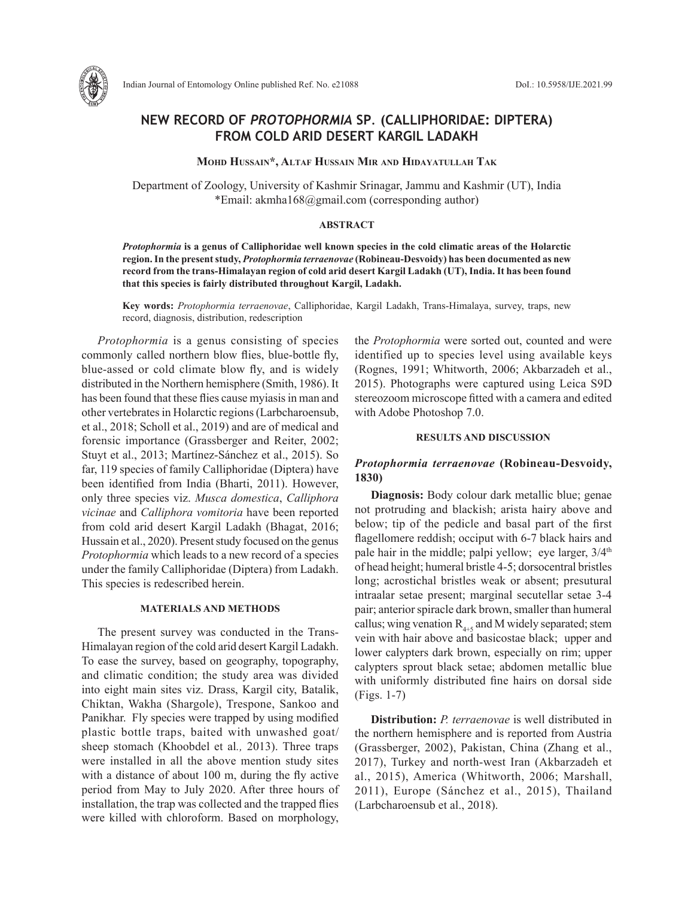

# **NEW RECORD OF** *PROTOPHORMIA* **SP***.* **(CALLIPHORIDAE: DIPTERA) FROM COLD ARID DESERT KARGIL LADAKH**

**Mohd hussain\*, altaf hussain Mir and hidayatullah tak**

Department of Zoology, University of Kashmir Srinagar, Jammu and Kashmir (UT), India \*Email: akmha168@gmail.com (corresponding author)

#### **ABSTRACT**

*Protophormia* **is a genus of Calliphoridae well known species in the cold climatic areas of the Holarctic region. In the present study,** *Protophormia terraenovae* **(Robineau-Desvoidy) has been documented as new record from the trans-Himalayan region of cold arid desert Kargil Ladakh (UT), India. It has been found that this species is fairly distributed throughout Kargil, Ladakh.** 

**Key words:** *Protophormia terraenovae*, Calliphoridae, Kargil Ladakh, Trans-Himalaya, survey, traps, new record, diagnosis, distribution, redescription

*Protophormia* is a genus consisting of species commonly called northern blow flies, blue-bottle fly, blue-assed or cold climate blow fly, and is widely distributed in the Northern hemisphere (Smith, 1986). It has been found that these flies cause myiasis in man and other vertebrates in Holarctic regions (Larbcharoensub, et al., 2018; Scholl et al., 2019) and are of medical and forensic importance (Grassberger and Reiter, 2002; Stuyt et al., 2013; Martínez-Sánchez et al., 2015). So far, 119 species of family Calliphoridae (Diptera) have been identified from India (Bharti, 2011). However, only three species viz. *Musca domestica*, *Calliphora vicinae* and *Calliphora vomitoria* have been reported from cold arid desert Kargil Ladakh (Bhagat, 2016; Hussain et al., 2020). Present study focused on the genus *Protophormia* which leads to a new record of a species under the family Calliphoridae (Diptera) from Ladakh. This species is redescribed herein.

### **MATERIALS AND METHODS**

The present survey was conducted in the Trans-Himalayan region of the cold arid desert Kargil Ladakh. To ease the survey, based on geography, topography, and climatic condition; the study area was divided into eight main sites viz. Drass, Kargil city, Batalik, Chiktan, Wakha (Shargole), Trespone, Sankoo and Panikhar. Fly species were trapped by using modified plastic bottle traps, baited with unwashed goat/ sheep stomach (Khoobdel et al*.,* 2013). Three traps were installed in all the above mention study sites with a distance of about 100 m, during the fly active period from May to July 2020. After three hours of installation, the trap was collected and the trapped flies were killed with chloroform. Based on morphology,

the *Protophormia* were sorted out, counted and were identified up to species level using available keys (Rognes, 1991; Whitworth, 2006; Akbarzadeh et al., 2015). Photographs were captured using Leica S9D stereozoom microscope fitted with a camera and edited with Adobe Photoshop 7.0.

#### **RESULTS AND DISCUSSION**

## *Protophormia terraenovae* **(Robineau-Desvoidy, 1830)**

**Diagnosis:** Body colour dark metallic blue; genae not protruding and blackish; arista hairy above and below; tip of the pedicle and basal part of the first flagellomere reddish; occiput with 6-7 black hairs and pale hair in the middle; palpi yellow; eye larger,  $3/4<sup>th</sup>$ of head height; humeral bristle 4-5; dorsocentral bristles long; acrostichal bristles weak or absent; presutural intraalar setae present; marginal secutellar setae 3-4 pair; anterior spiracle dark brown, smaller than humeral callus; wing venation  $R_{4+5}$  and M widely separated; stem vein with hair above and basicostae black; upper and lower calypters dark brown, especially on rim; upper calypters sprout black setae; abdomen metallic blue with uniformly distributed fine hairs on dorsal side (Figs. 1-7)

**Distribution:** *P. terraenovae* is well distributed in the northern hemisphere and is reported from Austria (Grassberger, 2002), Pakistan, China (Zhang et al., 2017), Turkey and north-west Iran (Akbarzadeh et al., 2015), America (Whitworth, 2006; Marshall, 2011), Europe (Sánchez et al., 2015), Thailand (Larbcharoensub et al., 2018).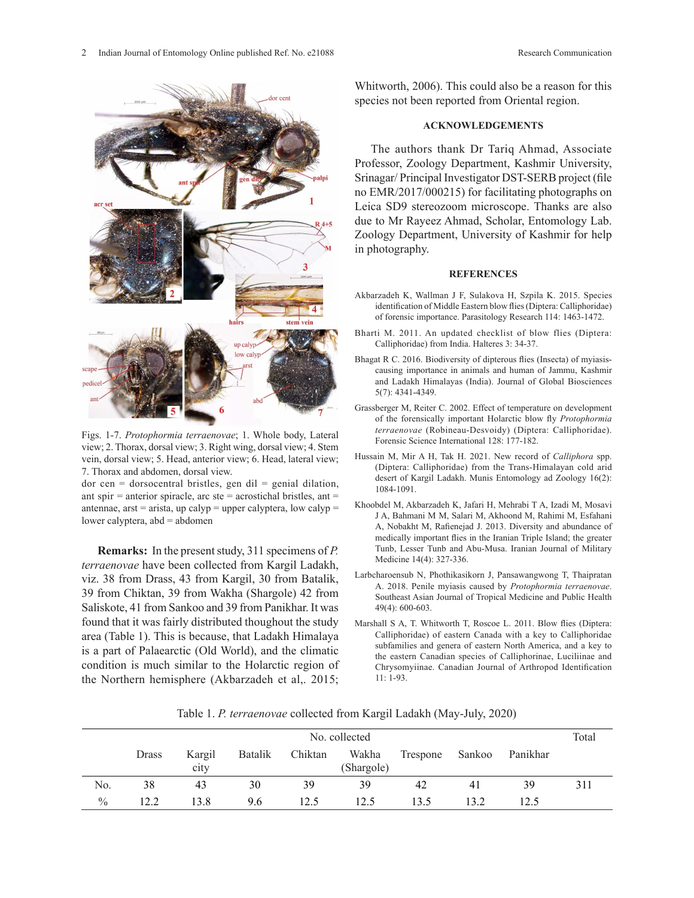

Figs. 1-7. *Protophormia terraenovae*; 1. Whole body, Lateral view; 2. Thorax, dorsal view; 3. Right wing, dorsal view; 4. Stem vein, dorsal view; 5. Head, anterior view; 6. Head, lateral view; <sup>Hussan</sup> 7. Thorax and abdomen, dorsal view. view; 7. Thorax and abdomen, dorsal view.

 $\alpha$  dor cen = dorsocentral bristles, gen dil = genial dilation, ant spir  $=$  anterior spiracle, arc ste  $=$  acrostichal bristles, ant  $=$ antennae, arst = arista, up calyp = upper calyptera, low calyp = lower calyptera, abd = abdomen acrostich and bristles, general experiences,  $\frac{1}{10}$ 

**Remarks:** In the present study, 311 specimens of *P. terraenovae* have been collected from Kargil Ladakh, viz. 38 from Drass, 43 from Kargil, 30 from Batalik, 39 from Chiktan, 39 from Wakha (Shargole) 42 from Saliskote, 41 from Sankoo and 39 from Panikhar. It was found that it was fairly distributed thoughout the study area (Table 1). This is because, that Ladakh Himalaya is a part of Palaearctic (Old World), and the climatic condition is much similar to the Holarctic region of the Northern hemisphere (Akbarzadeh et al,. 2015; Whitworth, 2006). This could also be a reason for this species not been reported from Oriental region.

#### **ACKNOWLEDGEMENTS**

The authors thank Dr Tariq Ahmad, Associate Professor, Zoology Department, Kashmir University, Srinagar/ Principal Investigator DST-SERB project (file no EMR/2017/000215) for facilitating photographs on Leica SD9 stereozoom microscope. Thanks are also due to Mr Rayeez Ahmad, Scholar, Entomology Lab. Zoology Department, University of Kashmir for help in photography.

#### **REFERENCES**

- Akbarzadeh K, Wallman J F, Sulakova H, Szpila K. 2015. Species identification of Middle Eastern blow flies (Diptera: Calliphoridae) of forensic importance. Parasitology Research 114: 1463-1472.
- Bharti M. 2011. An updated checklist of blow flies (Diptera: Calliphoridae) from India. Halteres 3: 34-37.
- Bhagat R C. 2016. Biodiversity of dipterous flies (Insecta) of myiasiscausing importance in animals and human of Jammu, Kashmir and Ladakh Himalayas (India). Journal of Global Biosciences 5(7): 4341-4349.
- Grassberger M, Reiter C. 2002. Effect of temperature on development of the forensically important Holarctic blow fly *Protophormia terraenovae* (Robineau-Desvoidy) (Diptera: Calliphoridae). Forensic Science International 128: 177-182.
- Hussain M, Mir A H, Tak H. 2021. New record of *Calliphora* spp. (Diptera: Calliphoridae) from the Trans-Himalayan cold arid desert of Kargil Ladakh. Munis Entomology ad Zoology 16(2): 1084-1091.
- Khoobdel M, Akbarzadeh K, Jafari H, Mehrabi T A, Izadi M, Mosavi J A, Bahmani M M, Salari M, Akhoond M, Rahimi M, Esfahani A, Nobakht M, Rafienejad J. 2013. Diversity and abundance of medically important flies in the Iranian Triple Island; the greater Tunb, Lesser Tunb and Abu-Musa. Iranian Journal of Military Medicine 14(4): 327-336.
- Larbcharoensub N, Phothikasikorn J, Pansawangwong T, Thaipratan A. 2018. Penile myiasis caused by *Protophormia terraenovae*. Southeast Asian Journal of Tropical Medicine and Public Health 49(4): 600-603.
- Marshall S A, T. Whitworth T, Roscoe L. 2011. Blow flies (Diptera: Calliphoridae) of eastern Canada with a key to Calliphoridae subfamilies and genera of eastern North America, and a key to the eastern Canadian species of Calliphorinae, Luciliinae and Chrysomyiinae. Canadian Journal of Arthropod Identification 11: 1-93.

Table 1. *P. terraenovae* collected from Kargil Ladakh (May-July, 2020)

|               | No. collected |                |                |         |                     |          |        |          | Total |
|---------------|---------------|----------------|----------------|---------|---------------------|----------|--------|----------|-------|
|               | Drass         | Kargil<br>city | <b>Batalik</b> | Chiktan | Wakha<br>(Shargole) | Trespone | Sankoo | Panikhar |       |
| No.           | 38            | 43             | 30             | 39      | 39                  | 42       | 41     | 39       | 311   |
| $\frac{0}{0}$ | 12.2          | 13.8           | 9.6            | 12.5    | 12.5                | 13.5     | 13.2   | 12.5     |       |